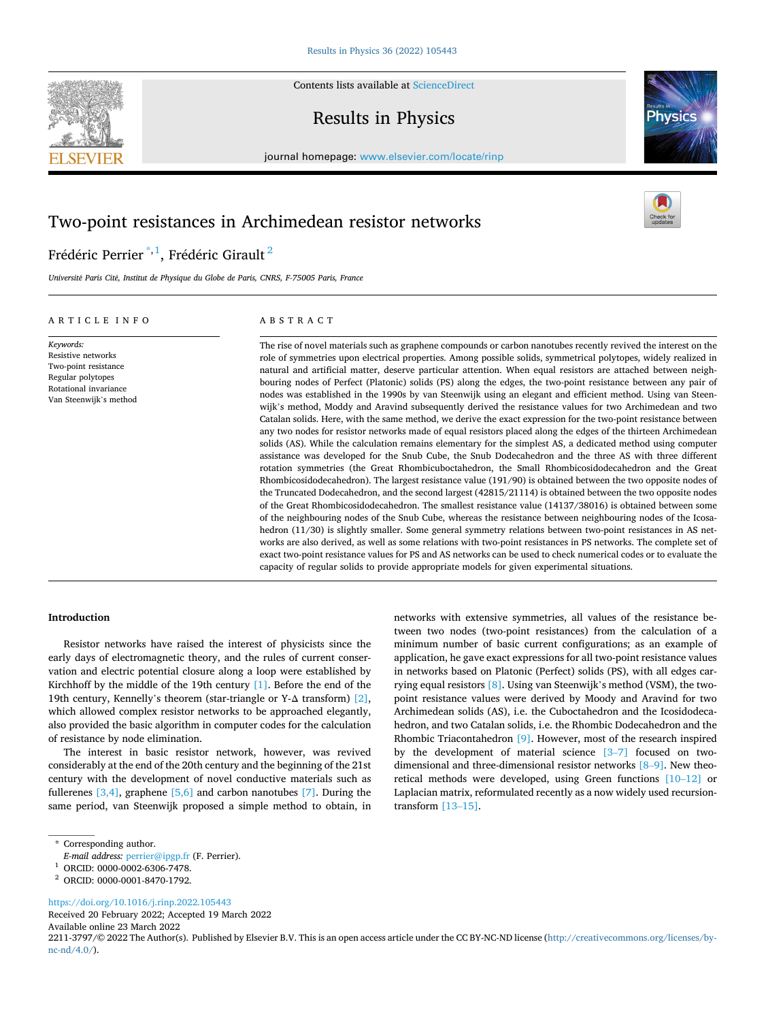Contents lists available at [ScienceDirect](www.sciencedirect.com/science/journal/22113797)

# Results in Physics

journal homepage: [www.elsevier.com/locate/rinp](https://www.elsevier.com/locate/rinp) 

# Two-point resistances in Archimedean resistor networks

# Frédéric Perrier $^{\ast,1}$ , Frédéric Girault $^2$

*Universit*´*e Paris Cit*´*e, Institut de Physique du Globe de Paris, CNRS, F-75005 Paris, France* 

# ARTICLE INFO

*Keywords:*  Resistive networks Two-point resistance Regular polytopes Rotational invariance Van Steenwijk's method

# ABSTRACT

The rise of novel materials such as graphene compounds or carbon nanotubes recently revived the interest on the role of symmetries upon electrical properties. Among possible solids, symmetrical polytopes, widely realized in natural and artificial matter, deserve particular attention. When equal resistors are attached between neighbouring nodes of Perfect (Platonic) solids (PS) along the edges, the two-point resistance between any pair of nodes was established in the 1990s by van Steenwijk using an elegant and efficient method. Using van Steenwijk's method, Moddy and Aravind subsequently derived the resistance values for two Archimedean and two Catalan solids. Here, with the same method, we derive the exact expression for the two-point resistance between any two nodes for resistor networks made of equal resistors placed along the edges of the thirteen Archimedean solids (AS). While the calculation remains elementary for the simplest AS, a dedicated method using computer assistance was developed for the Snub Cube, the Snub Dodecahedron and the three AS with three different rotation symmetries (the Great Rhombicuboctahedron, the Small Rhombicosidodecahedron and the Great Rhombicosidodecahedron). The largest resistance value (191/90) is obtained between the two opposite nodes of the Truncated Dodecahedron, and the second largest (42815/21114) is obtained between the two opposite nodes of the Great Rhombicosidodecahedron. The smallest resistance value (14137/38016) is obtained between some of the neighbouring nodes of the Snub Cube, whereas the resistance between neighbouring nodes of the Icosahedron (11/30) is slightly smaller. Some general symmetry relations between two-point resistances in AS networks are also derived, as well as some relations with two-point resistances in PS networks. The complete set of exact two-point resistance values for PS and AS networks can be used to check numerical codes or to evaluate the capacity of regular solids to provide appropriate models for given experimental situations.

# **Introduction**

Resistor networks have raised the interest of physicists since the early days of electromagnetic theory, and the rules of current conservation and electric potential closure along a loop were established by Kirchhoff by the middle of the 19th century [\[1\]](#page-12-0). Before the end of the 19th century, Kennelly's theorem (star-triangle or Y- $\Delta$  transform) [\[2\]](#page-12-0), which allowed complex resistor networks to be approached elegantly, also provided the basic algorithm in computer codes for the calculation of resistance by node elimination.

The interest in basic resistor network, however, was revived considerably at the end of the 20th century and the beginning of the 21st century with the development of novel conductive materials such as fullerenes  $[3,4]$ , graphene  $[5,6]$  and carbon nanotubes  $[7]$ . During the same period, van Steenwijk proposed a simple method to obtain, in

<https://doi.org/10.1016/j.rinp.2022.105443>

Received 20 February 2022; Accepted 19 March 2022

Available online 23 March 2022

2211-3797/© 2022 The Author(s). Published by Elsevier B.V. This is an open access article under the CC BY-NC-ND license([http://creativecommons.org/licenses/by](http://creativecommons.org/licenses/by-nc-nd/4.0/) $nc\text{-}nd/4.0/$ ).

networks with extensive symmetries, all values of the resistance between two nodes (two-point resistances) from the calculation of a minimum number of basic current configurations; as an example of application, he gave exact expressions for all two-point resistance values in networks based on Platonic (Perfect) solids (PS), with all edges carrying equal resistors [\[8\]](#page-12-0). Using van Steenwijk's method (VSM), the twopoint resistance values were derived by Moody and Aravind for two Archimedean solids (AS), i.e. the Cuboctahedron and the Icosidodecahedron, and two Catalan solids, i.e. the Rhombic Dodecahedron and the Rhombic Triacontahedron [\[9\]](#page-12-0). However, most of the research inspired by the development of material science [3–[7\]](#page-12-0) focused on twodimensional and three-dimensional resistor networks [8–[9\].](#page-12-0) New theoretical methods were developed, using Green functions [10–[12\]](#page-12-0) or Laplacian matrix, reformulated recently as a now widely used recursiontransform [\[13](#page-12-0)–15].







<sup>\*</sup> Corresponding author.

*E-mail address:* [perrier@ipgp.fr](mailto:perrier@ipgp.fr) (F. Perrier). 1 ORCID: 0000-0002-6306-7478. 2 ORCID: 0000-0001-8470-1792.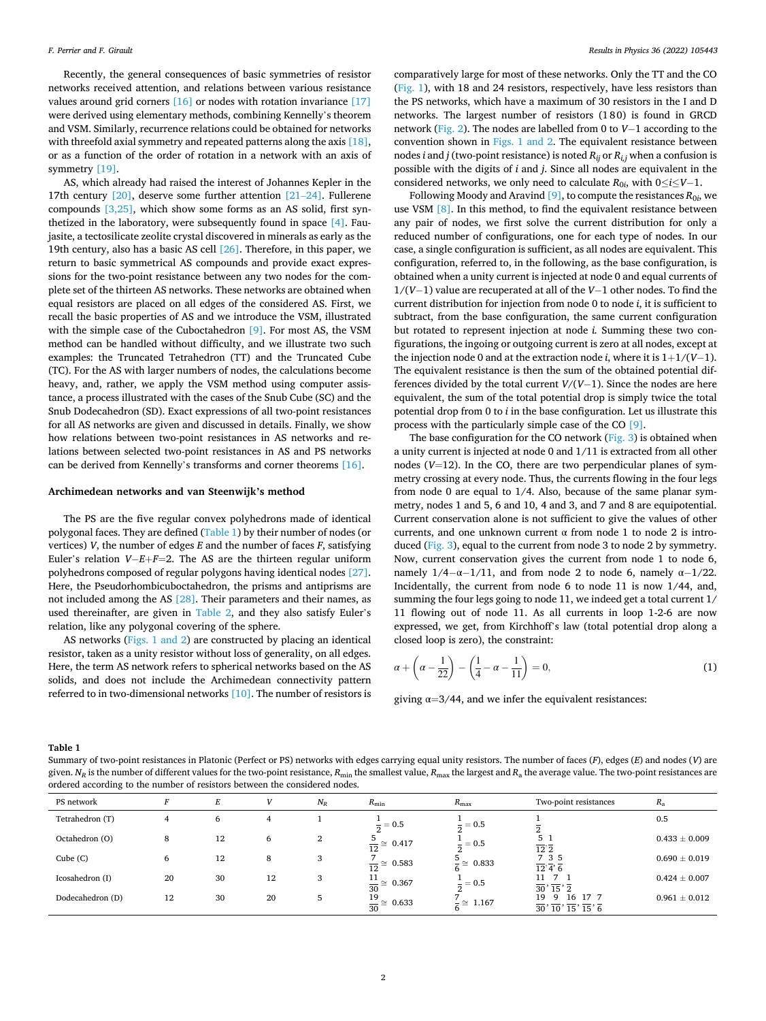<span id="page-1-0"></span>Recently, the general consequences of basic symmetries of resistor networks received attention, and relations between various resistance values around grid corners  $[16]$  or nodes with rotation invariance  $[17]$ were derived using elementary methods, combining Kennelly's theorem and VSM. Similarly, recurrence relations could be obtained for networks with threefold axial symmetry and repeated patterns along the axis [\[18\]](#page-12-0), or as a function of the order of rotation in a network with an axis of symmetry [\[19\].](#page-12-0)

AS, which already had raised the interest of Johannes Kepler in the 17th century [\[20\],](#page-12-0) deserve some further attention [\[21](#page-12-0)–24]. Fullerene compounds [\[3,25\],](#page-12-0) which show some forms as an AS solid, first synthetized in the laboratory, were subsequently found in space [\[4\]](#page-12-0). Faujasite, a tectosilicate zeolite crystal discovered in minerals as early as the 19th century, also has a basic AS cell [\[26\]](#page-12-0). Therefore, in this paper, we return to basic symmetrical AS compounds and provide exact expressions for the two-point resistance between any two nodes for the complete set of the thirteen AS networks. These networks are obtained when equal resistors are placed on all edges of the considered AS. First, we recall the basic properties of AS and we introduce the VSM, illustrated with the simple case of the Cuboctahedron [\[9\].](#page-12-0) For most AS, the VSM method can be handled without difficulty, and we illustrate two such examples: the Truncated Tetrahedron (TT) and the Truncated Cube (TC). For the AS with larger numbers of nodes, the calculations become heavy, and, rather, we apply the VSM method using computer assistance, a process illustrated with the cases of the Snub Cube (SC) and the Snub Dodecahedron (SD). Exact expressions of all two-point resistances for all AS networks are given and discussed in details. Finally, we show how relations between two-point resistances in AS networks and relations between selected two-point resistances in AS and PS networks can be derived from Kennelly's transforms and corner theorems [\[16\]](#page-12-0).

#### **Archimedean networks and van Steenwijk's method**

The PS are the five regular convex polyhedrons made of identical polygonal faces. They are defined (Table 1) by their number of nodes (or vertices) *V*, the number of edges *E* and the number of faces *F*, satisfying Euler's relation *V*−*E*+*F*=2. The AS are the thirteen regular uniform polyhedrons composed of regular polygons having identical nodes [\[27\]](#page-12-0). Here, the Pseudorhombicuboctahedron, the prisms and antiprisms are not included among the AS [\[28\]](#page-12-0). Their parameters and their names, as used thereinafter, are given in [Table 2,](#page-2-0) and they also satisfy Euler's relation, like any polygonal covering of the sphere.

AS networks [\(Figs. 1 and 2](#page-2-0)) are constructed by placing an identical resistor, taken as a unity resistor without loss of generality, on all edges. Here, the term AS network refers to spherical networks based on the AS solids, and does not include the Archimedean connectivity pattern referred to in two-dimensional networks [\[10\]](#page-12-0). The number of resistors is comparatively large for most of these networks. Only the TT and the CO ([Fig. 1\)](#page-2-0), with 18 and 24 resistors, respectively, have less resistors than the PS networks, which have a maximum of 30 resistors in the I and D networks. The largest number of resistors (180) is found in GRCD network ([Fig. 2](#page-3-0)). The nodes are labelled from 0 to *V*− 1 according to the convention shown in [Figs. 1 and 2](#page-2-0). The equivalent resistance between nodes *i* and *j* (two-point resistance) is noted *Rij* or *Ri,j* when a confusion is possible with the digits of *i* and *j*. Since all nodes are equivalent in the considered networks, we only need to calculate  $R_{0i}$ , with  $0 \le i \le V-1$ .

Following Moody and Aravind  $[9]$ , to compute the resistances  $R_{0i}$ , we use VSM [\[8\].](#page-12-0) In this method, to find the equivalent resistance between any pair of nodes, we first solve the current distribution for only a reduced number of configurations, one for each type of nodes. In our case, a single configuration is sufficient, as all nodes are equivalent. This configuration, referred to, in the following, as the base configuration, is obtained when a unity current is injected at node 0 and equal currents of 1/(*V*− 1) value are recuperated at all of the *V*− 1 other nodes. To find the current distribution for injection from node 0 to node *i*, it is sufficient to subtract, from the base configuration, the same current configuration but rotated to represent injection at node *i.* Summing these two configurations, the ingoing or outgoing current is zero at all nodes, except at the injection node 0 and at the extraction node *i*, where it is  $1+1/(V-1)$ . The equivalent resistance is then the sum of the obtained potential differences divided by the total current *V*/(*V*− 1). Since the nodes are here equivalent, the sum of the total potential drop is simply twice the total potential drop from 0 to *i* in the base configuration. Let us illustrate this process with the particularly simple case of the CO [\[9\]](#page-12-0).

The base configuration for the CO network [\(Fig. 3\)](#page-5-0) is obtained when a unity current is injected at node 0 and 1/11 is extracted from all other nodes (*V*=12). In the CO, there are two perpendicular planes of symmetry crossing at every node. Thus, the currents flowing in the four legs from node 0 are equal to 1/4. Also, because of the same planar symmetry, nodes 1 and 5, 6 and 10, 4 and 3, and 7 and 8 are equipotential. Current conservation alone is not sufficient to give the values of other currents, and one unknown current  $\alpha$  from node 1 to node 2 is introduced ([Fig. 3](#page-5-0)), equal to the current from node 3 to node 2 by symmetry. Now, current conservation gives the current from node 1 to node 6, namely  $1/4 - \alpha - 1/11$ , and from node 2 to node 6, namely  $\alpha - 1/22$ . Incidentally, the current from node 6 to node 11 is now 1/44, and, summing the four legs going to node 11, we indeed get a total current 1/ 11 flowing out of node 11. As all currents in loop 1-2-6 are now expressed, we get, from Kirchhoff's law (total potential drop along a closed loop is zero), the constraint:

$$
\alpha + \left(\alpha - \frac{1}{22}\right) - \left(\frac{1}{4} - \alpha - \frac{1}{11}\right) = 0,\tag{1}
$$

giving  $\alpha = 3/44$ , and we infer the equivalent resistances:

**Table 1** 

Summary of two-point resistances in Platonic (Perfect or PS) networks with edges carrying equal unity resistors. The number of faces (*F*), edges (*E*) and nodes (*V*) are given.  $N_R$  is the number of different values for the two-point resistance,  $R_{min}$  the smallest value,  $R_{max}$  the largest and  $R_a$  the average value. The two-point resistances are ordered according to the number of resistors between the considered nodes.

| PS network       | E  | Е  |    | $N_R$ | $R_{\min}$                          | $R_{\text{max}}$              | Two-point resistances                                                                                      | $R_{\rm a}$       |
|------------------|----|----|----|-------|-------------------------------------|-------------------------------|------------------------------------------------------------------------------------------------------------|-------------------|
| Tetrahedron (T)  | 4  | 6  |    |       | $\frac{2}{5} = 0.5$                 | $\frac{2}{3} = 0.5$<br>$\sim$ |                                                                                                            | 0.5               |
| Octahedron (O)   | 8  | 12 | 6  | 2     | $\frac{5}{12}$ $\approx$ 0.417      | $\bar{ } = 0.5$               | 5 <sub>1</sub><br>$\overline{12}$ <sup>2</sup>                                                             | $0.433 \pm 0.009$ |
| Cube(C)          | 6  | 12 | 8  | 3     | $\frac{7}{12} \approx 0.583$<br>12  | $\frac{3}{2} \approx 0.833$   | 7 3 5<br>12'3'6                                                                                            | $0.690 \pm 0.019$ |
| Icosahedron (I)  | 20 | 30 | 12 | 3     | 11<br>$\frac{11}{30} \approx 0.367$ | $\frac{1}{2} = 0.5$           | 11<br>$\overline{30}$ , $\overline{15}$ , $\overline{2}$                                                   | $0.424 \pm 0.007$ |
| Dodecahedron (D) | 12 | 30 | 20 | 5     | 19<br>$\frac{15}{30} \approx 0.633$ | $- \approx 1.167$             | 19<br>16<br>17.7<br>9<br>$\frac{1}{30}$ , $\frac{1}{10}$ , $\frac{1}{15}$ , $\frac{1}{15}$ , $\frac{1}{6}$ | $0.961 \pm 0.012$ |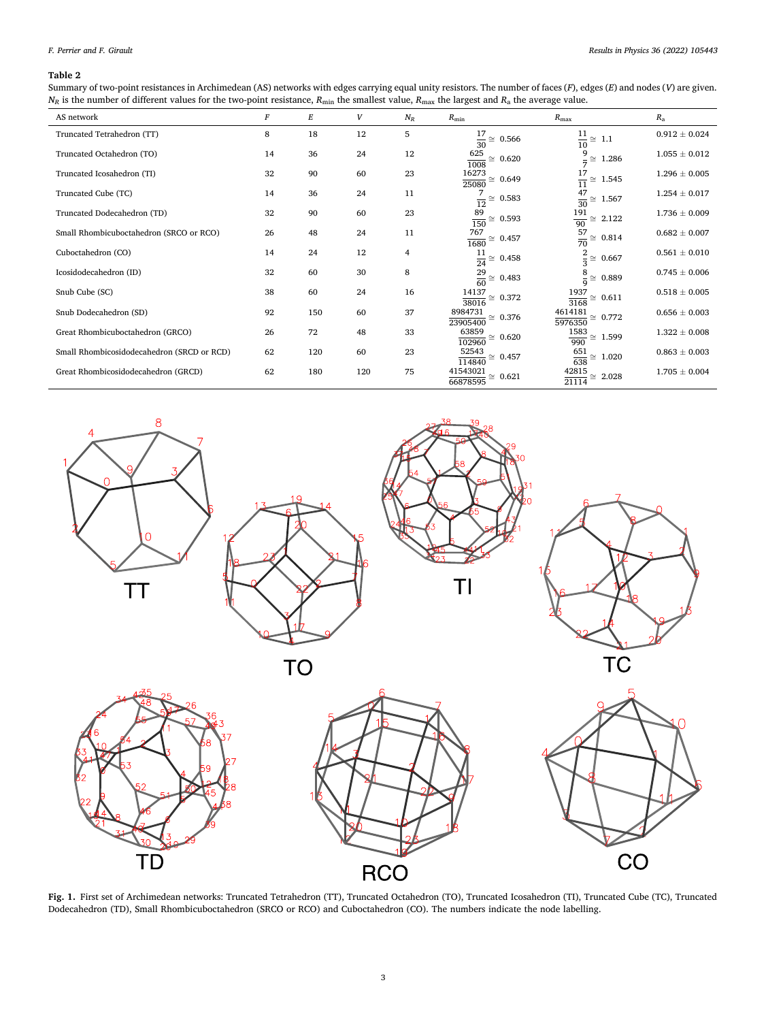# <span id="page-2-0"></span>*F. Perrier and F. Girault*

# **Table 2**

Summary of two-point resistances in Archimedean (AS) networks with edges carrying equal unity resistors. The number of faces (*F*), edges (*E*) and nodes (*V*) are given.  $N_R$  is the number of different values for the two-point resistance,  $R_{\text{min}}$  the smallest value,  $R_{\text{max}}$  the largest and  $R_a$  the average value.

| AS network                                 | F  | E   | V   | $N_R$ | $R_{\min}$                              | $R_{\text{max}}$                      | $R_{\rm a}$       |
|--------------------------------------------|----|-----|-----|-------|-----------------------------------------|---------------------------------------|-------------------|
| Truncated Tetrahedron (TT)                 | 8  | 18  | 12  | 5     | $\frac{17}{30}\cong~0.566$              | $\frac{11}{10}$<br>$\cong$ 1.1        | $0.912 \pm 0.024$ |
| Truncated Octahedron (TO)                  | 14 | 36  | 24  | 12    | 625<br>$\approx 0.620$<br>1008          | 9<br>1.286<br>$\cong$<br>$\equiv$     | $1.055 \pm 0.012$ |
| Truncated Icosahedron (TI)                 | 32 | 90  | 60  | 23    | 16273<br>$\approx 0.649$<br>25080       | $\frac{17}{11}$<br>$\approx 1.545$    | $1.296 \pm 0.005$ |
| Truncated Cube (TC)                        | 14 | 36  | 24  | 11    | 0.583<br>$rac{1}{12}$ $\cong$           | 47<br>$\approx 1.567$<br>$rac{1}{30}$ | $1.254 \pm 0.017$ |
| Truncated Dodecahedron (TD)                | 32 | 90  | 60  | 23    | $\frac{89}{150}\cong \ 0.593$           | $\frac{191}{90}$<br>2.122<br>$\simeq$ | $1.736 \pm 0.009$ |
| Small Rhombicuboctahedron (SRCO or RCO)    | 26 | 48  | 24  | 11    | 767<br>$\approx 0.457$<br>1680          | $\frac{57}{70}$<br>$\approx 0.814$    | $0.682 \pm 0.007$ |
| Cuboctahedron (CO)                         | 14 | 24  | 12  | 4     | $\frac{11}{24} \approx 0.458$           | $\approx 0.667$                       | $0.561 \pm 0.010$ |
| Icosidodecahedron (ID)                     | 32 | 60  | 30  | 8     | $\frac{29}{60} \approx 0.483$           | 8<br>0.889<br>$\simeq$<br>$\mathbf Q$ | $0.745 \pm 0.006$ |
| Snub Cube (SC)                             | 38 | 60  | 24  | 16    | 14137<br>$\approx 0.372$<br>38016       | 1937<br>$\approx 0.611$<br>3168       | $0.518 \pm 0.005$ |
| Snub Dodecahedron (SD)                     | 92 | 150 | 60  | 37    | 8984731<br>$\approx 0.376$<br>23905400  | 4614181<br>$\approx 0.772$<br>5976350 | $0.656 \pm 0.003$ |
| Great Rhombicuboctahedron (GRCO)           | 26 | 72  | 48  | 33    | 63859<br>$\approx 0.620$<br>102960      | 1583<br>$\approx 1.599$<br>990        | $1.322 \pm 0.008$ |
| Small Rhombicosidodecahedron (SRCD or RCD) | 62 | 120 | 60  | 23    | 52543<br>$\approx 0.457$<br>114840      | $\frac{651}{638}$<br>$\approx 1.020$  | $0.863 \pm 0.003$ |
| Great Rhombicosidodecahedron (GRCD)        | 62 | 180 | 120 | 75    | 41543021<br>$\approx 0.621$<br>66878595 | 42815<br>2.028<br>$\simeq$<br>21114   | $1.705 \pm 0.004$ |



**Fig. 1.** First set of Archimedean networks: Truncated Tetrahedron (TT), Truncated Octahedron (TO), Truncated Icosahedron (TI), Truncated Cube (TC), Truncated Dodecahedron (TD), Small Rhombicuboctahedron (SRCO or RCO) and Cuboctahedron (CO). The numbers indicate the node labelling.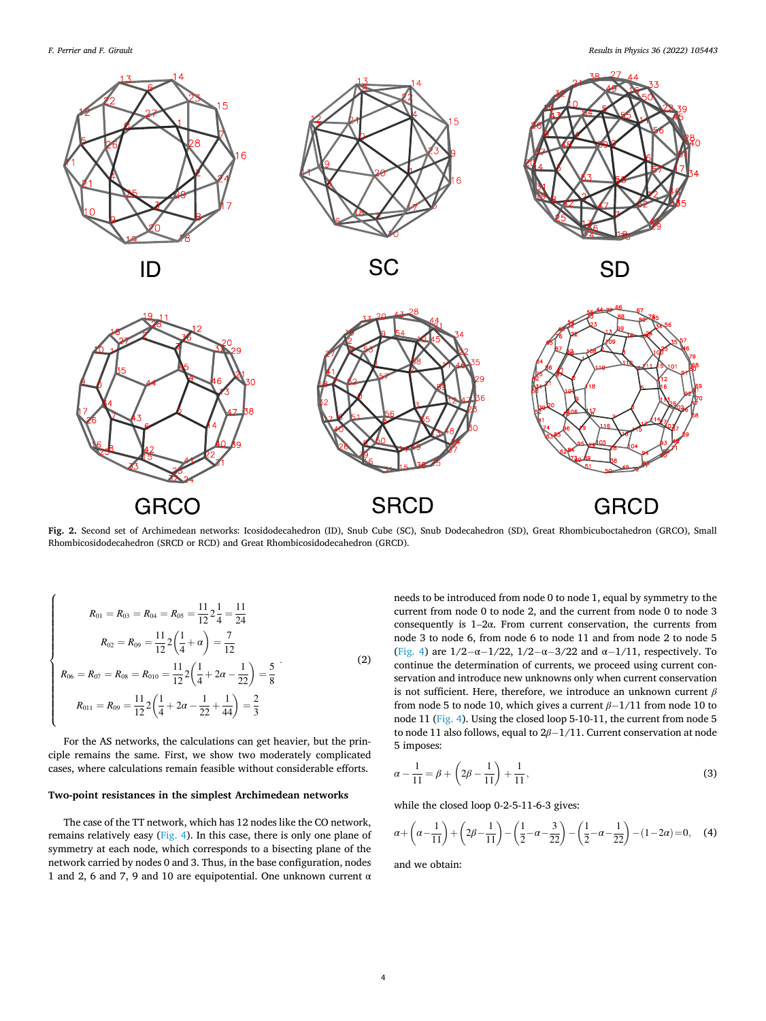<span id="page-3-0"></span>*F. Perrier and F. Girault* 

 $\overline{a}$ 



ID



**SC** 



**SD** 



**Fig. 2.** Second set of Archimedean networks: Icosidodecahedron (ID), Snub Cube (SC), Snub Dodecahedron (SD), Great Rhombicuboctahedron (GRCO), Small Rhombicosidodecahedron (SRCD or RCD) and Great Rhombicosidodecahedron (GRCD).

$$
R_{01} = R_{03} = R_{04} = R_{05} = \frac{11}{12} 2 \frac{1}{4} = \frac{11}{24}
$$
  
\n
$$
R_{02} = R_{09} = \frac{11}{12} 2 \left( \frac{1}{4} + \alpha \right) = \frac{7}{12}
$$
  
\n
$$
R_{06} = R_{07} = R_{08} = R_{010} = \frac{11}{12} 2 \left( \frac{1}{4} + 2\alpha - \frac{1}{22} \right) = \frac{5}{8}
$$
  
\n
$$
R_{011} = R_{09} = \frac{11}{12} 2 \left( \frac{1}{4} + 2\alpha - \frac{1}{22} + \frac{1}{44} \right) = \frac{2}{3}
$$
  
\n(2)

For the AS networks, the calculations can get heavier, but the principle remains the same. First, we show two moderately complicated cases, where calculations remain feasible without considerable efforts.

# **Two-point resistances in the simplest Archimedean networks**

The case of the TT network, which has 12 nodes like the CO network, remains relatively easy ([Fig. 4](#page-6-0)). In this case, there is only one plane of symmetry at each node, which corresponds to a bisecting plane of the network carried by nodes 0 and 3. Thus, in the base configuration, nodes 1 and 2, 6 and 7, 9 and 10 are equipotential. One unknown current  $\alpha$  needs to be introduced from node 0 to node 1, equal by symmetry to the current from node 0 to node 2, and the current from node 0 to node 3 consequently is 1–2α. From current conservation, the currents from node 3 to node 6, from node 6 to node 11 and from node 2 to node 5 ([Fig. 4](#page-6-0)) are  $1/2 - \alpha - 1/22$ ,  $1/2 - \alpha - 3/22$  and  $\alpha - 1/11$ , respectively. To continue the determination of currents, we proceed using current conservation and introduce new unknowns only when current conservation is not sufficient. Here, therefore, we introduce an unknown current *β*  from node 5 to node 10, which gives a current *β*− 1/11 from node 10 to node 11 ([Fig. 4](#page-6-0)). Using the closed loop 5-10-11, the current from node 5 to node 11 also follows, equal to 2*β*− 1/11. Current conservation at node 5 imposes:

$$
\alpha - \frac{1}{11} = \beta + \left(2\beta - \frac{1}{11}\right) + \frac{1}{11},\tag{3}
$$

while the closed loop 0-2-5-11-6-3 gives:

$$
\alpha + \left(\alpha - \frac{1}{11}\right) + \left(2\beta - \frac{1}{11}\right) - \left(\frac{1}{2} - \alpha - \frac{3}{22}\right) - \left(\frac{1}{2} - \alpha - \frac{1}{22}\right) - (1 - 2\alpha) = 0, \quad (4)
$$

and we obtain: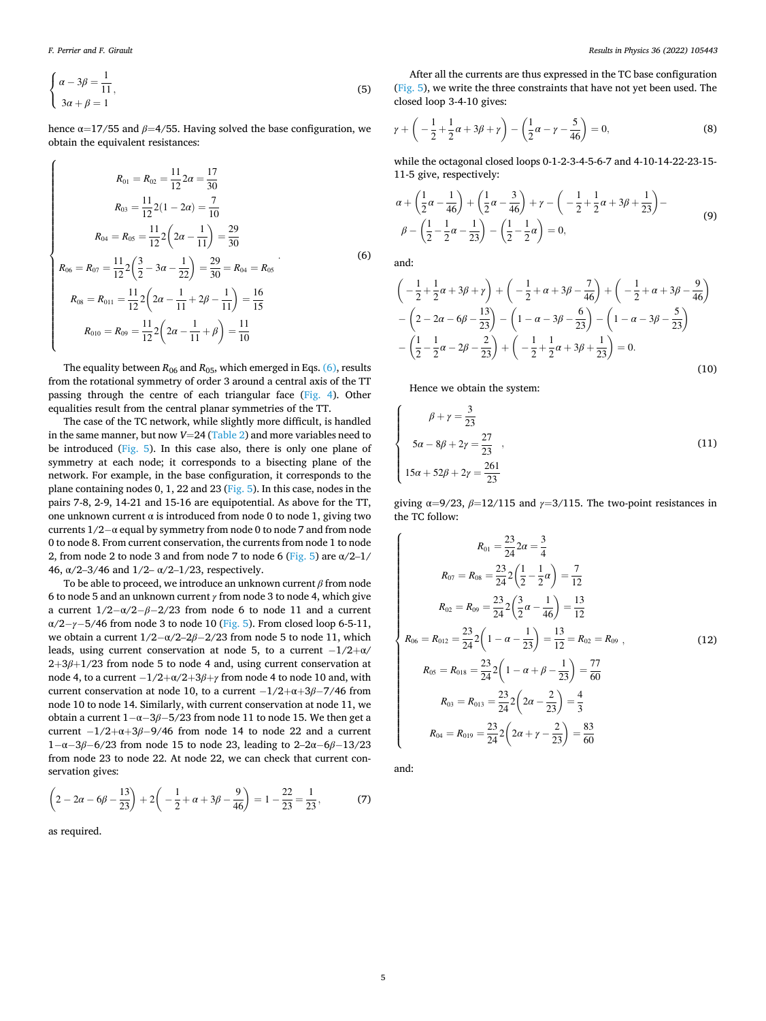$\overline{a}$ 

$$
\begin{cases}\n\alpha - 3\beta = \frac{1}{11}, \\
3\alpha + \beta = 1\n\end{cases}
$$
\n(5)

hence  $\alpha$ =17/55 and  $\beta$ =4/55. Having solved the base configuration, we obtain the equivalent resistances:

$$
R_{01} = R_{02} = \frac{11}{12} 2\alpha = \frac{17}{30}
$$
  
\n
$$
R_{03} = \frac{11}{12} 2(1 - 2\alpha) = \frac{7}{10}
$$
  
\n
$$
R_{04} = R_{05} = \frac{11}{12} 2(2\alpha - \frac{1}{11}) = \frac{29}{30}
$$
  
\n
$$
R_{06} = R_{07} = \frac{11}{12} 2(\frac{3}{2} - 3\alpha - \frac{1}{22}) = \frac{29}{30} = R_{04} = R_{05}
$$
  
\n
$$
R_{08} = R_{011} = \frac{11}{12} 2(2\alpha - \frac{1}{11} + 2\beta - \frac{1}{11}) = \frac{16}{15}
$$
  
\n
$$
R_{010} = R_{09} = \frac{11}{12} 2(2\alpha - \frac{1}{11} + \beta) = \frac{11}{10}
$$
  
\n(6)

The equality between  $R_{06}$  and  $R_{05}$ , which emerged in Eqs. (6), results from the rotational symmetry of order 3 around a central axis of the TT passing through the centre of each triangular face ([Fig. 4\)](#page-6-0). Other equalities result from the central planar symmetries of the TT.

The case of the TC network, while slightly more difficult, is handled in the same manner, but now *V*=24 ([Table 2](#page-2-0)) and more variables need to be introduced ([Fig. 5](#page-7-0)). In this case also, there is only one plane of symmetry at each node; it corresponds to a bisecting plane of the network. For example, in the base configuration, it corresponds to the plane containing nodes 0, 1, 22 and 23 [\(Fig. 5\)](#page-7-0). In this case, nodes in the pairs 7-8, 2-9, 14-21 and 15-16 are equipotential. As above for the TT, one unknown current α is introduced from node 0 to node 1, giving two currents 1/2− α equal by symmetry from node 0 to node 7 and from node 0 to node 8. From current conservation, the currents from node 1 to node 2, from node 2 to node 3 and from node 7 to node 6 [\(Fig. 5](#page-7-0)) are  $\alpha/2-1/$ 46, α/2–3/46 and 1/2– α/2–1/23, respectively.

To be able to proceed, we introduce an unknown current *β* from node 6 to node 5 and an unknown current *γ* from node 3 to node 4, which give a current  $1/2 - \alpha/2 - \beta - 2/23$  from node 6 to node 11 and a current α/2− *γ*− 5/46 from node 3 to node 10 ([Fig. 5](#page-7-0)). From closed loop 6-5-11, we obtain a current  $1/2 - \alpha/2 - 2\beta - 2/23$  from node 5 to node 11, which leads, using current conservation at node 5, to a current  $-1/2+\alpha/$  $2+3\beta+1/23$  from node 5 to node 4 and, using current conservation at node 4, to a current  $-1/2 + \alpha/2 + 3\beta + \gamma$  from node 4 to node 10 and, with current conservation at node 10, to a current − 1/2+α+3*β*− 7/46 from node 10 to node 14. Similarly, with current conservation at node 11, we obtain a current 1− α− 3*β*− 5/23 from node 11 to node 15. We then get a current  $-1/2+\alpha+3\beta-9/46$  from node 14 to node 22 and a current 1− α− 3*β*− 6/23 from node 15 to node 23, leading to 2–2α− 6*β*− 13/23 from node 23 to node 22. At node 22, we can check that current conservation gives:

$$
\left(2 - 2\alpha - 6\beta - \frac{13}{23}\right) + 2\left(-\frac{1}{2} + \alpha + 3\beta - \frac{9}{46}\right) = 1 - \frac{22}{23} = \frac{1}{23},\tag{7}
$$

as required.

After all the currents are thus expressed in the TC base configuration ([Fig. 5](#page-7-0)), we write the three constraints that have not yet been used. The closed loop 3-4-10 gives:

$$
\gamma + \left( -\frac{1}{2} + \frac{1}{2}\alpha + 3\beta + \gamma \right) - \left( \frac{1}{2}\alpha - \gamma - \frac{5}{46} \right) = 0, \tag{8}
$$

while the octagonal closed loops 0-1-2-3-4-5-6-7 and 4-10-14-22-23-15- 11-5 give, respectively:

$$
\alpha + \left(\frac{1}{2}\alpha - \frac{1}{46}\right) + \left(\frac{1}{2}\alpha - \frac{3}{46}\right) + \gamma - \left(-\frac{1}{2} + \frac{1}{2}\alpha + 3\beta + \frac{1}{23}\right) - \beta - \left(\frac{1}{2} - \frac{1}{2}\alpha - \frac{1}{23}\right) - \left(\frac{1}{2} - \frac{1}{2}\alpha\right) = 0,
$$
\n(9)

and:

$$
\left(-\frac{1}{2} + \frac{1}{2}\alpha + 3\beta + \gamma\right) + \left(-\frac{1}{2} + \alpha + 3\beta - \frac{7}{46}\right) + \left(-\frac{1}{2} + \alpha + 3\beta - \frac{9}{46}\right) -\left(2 - 2\alpha - 6\beta - \frac{13}{23}\right) - \left(1 - \alpha - 3\beta - \frac{6}{23}\right) - \left(1 - \alpha - 3\beta - \frac{5}{23}\right) -\left(\frac{1}{2} - \frac{1}{2}\alpha - 2\beta - \frac{2}{23}\right) + \left(-\frac{1}{2} + \frac{1}{2}\alpha + 3\beta + \frac{1}{23}\right) = 0.
$$
\n(10)

Hence we obtain the system:

$$
\begin{cases}\n\beta + \gamma = \frac{3}{23} \\
5\alpha - 8\beta + 2\gamma = \frac{27}{23} \\
15\alpha + 52\beta + 2\gamma = \frac{261}{23}\n\end{cases}
$$
\n(11)

giving  $\alpha = 9/23$ ,  $\beta = 12/115$  and  $\gamma = 3/115$ . The two-point resistances in the TC follow:

$$
R_{01} = \frac{23}{24} 2\alpha = \frac{3}{4}
$$
  
\n
$$
R_{07} = R_{08} = \frac{23}{24} 2\left(\frac{1}{2} - \frac{1}{2}\alpha\right) = \frac{7}{12}
$$
  
\n
$$
R_{02} = R_{09} = \frac{23}{24} 2\left(\frac{3}{2}\alpha - \frac{1}{46}\right) = \frac{13}{12}
$$
  
\n
$$
R_{06} = R_{012} = \frac{23}{24} 2\left(1 - \alpha - \frac{1}{23}\right) = \frac{13}{12} = R_{02} = R_{09},
$$
  
\n
$$
R_{05} = R_{018} = \frac{23}{24} 2\left(1 - \alpha + \beta - \frac{1}{23}\right) = \frac{77}{60}
$$
  
\n
$$
R_{03} = R_{013} = \frac{23}{24} 2\left(2\alpha - \frac{2}{23}\right) = \frac{4}{3}
$$
  
\n
$$
R_{04} = R_{019} = \frac{23}{24} 2\left(2\alpha + \gamma - \frac{2}{23}\right) = \frac{83}{60}
$$
  
\n(12)

and: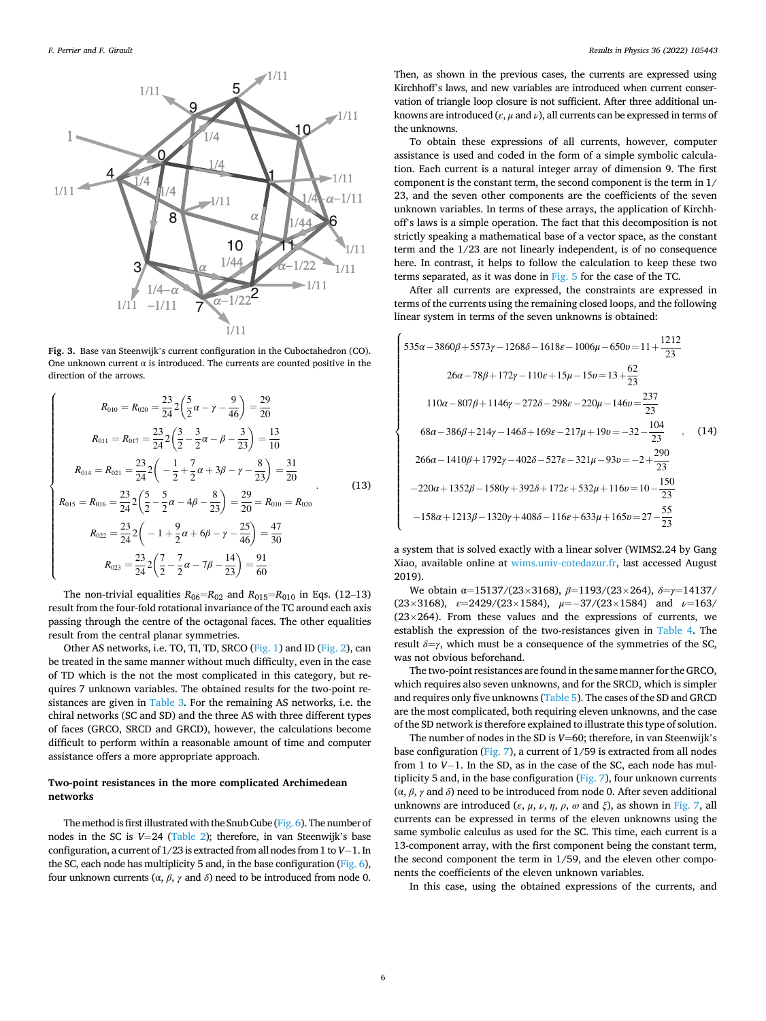<span id="page-5-0"></span>

**Fig. 3.** Base van Steenwijk's current configuration in the Cuboctahedron (CO). One unknown current  $\alpha$  is introduced. The currents are counted positive in the direction of the arrows.

$$
R_{010} = R_{020} = \frac{23}{24} 2 \left( \frac{5}{2} \alpha - \gamma - \frac{9}{46} \right) = \frac{29}{20}
$$
  
\n
$$
R_{011} = R_{017} = \frac{23}{24} 2 \left( \frac{3}{2} - \frac{3}{2} \alpha - \beta - \frac{3}{23} \right) = \frac{13}{10}
$$
  
\n
$$
R_{014} = R_{021} = \frac{23}{24} 2 \left( -\frac{1}{2} + \frac{7}{2} \alpha + 3\beta - \gamma - \frac{8}{23} \right) = \frac{31}{20}
$$
  
\n
$$
R_{015} = R_{016} = \frac{23}{24} 2 \left( \frac{5}{2} - \frac{5}{2} \alpha - 4\beta - \frac{8}{23} \right) = \frac{29}{20} = R_{010} = R_{020}
$$
  
\n
$$
R_{022} = \frac{23}{24} 2 \left( -1 + \frac{9}{2} \alpha + 6\beta - \gamma - \frac{25}{46} \right) = \frac{47}{30}
$$
  
\n
$$
R_{023} = \frac{23}{24} 2 \left( \frac{7}{2} - \frac{7}{2} \alpha - 7\beta - \frac{14}{23} \right) = \frac{91}{60}
$$
 (13)

The non-trivial equalities  $R_{06} = R_{02}$  and  $R_{015} = R_{010}$  in Eqs. (12–13) result from the four-fold rotational invariance of the TC around each axis passing through the centre of the octagonal faces. The other equalities result from the central planar symmetries.

Other AS networks, i.e. TO, TI, TD, SRCO ([Fig. 1](#page-2-0)) and ID ([Fig. 2](#page-3-0)), can be treated in the same manner without much difficulty, even in the case of TD which is the not the most complicated in this category, but requires 7 unknown variables. The obtained results for the two-point resistances are given in [Table 3.](#page-7-0) For the remaining AS networks, i.e. the chiral networks (SC and SD) and the three AS with three different types of faces (GRCO, SRCD and GRCD), however, the calculations become difficult to perform within a reasonable amount of time and computer assistance offers a more appropriate approach.

# **Two-point resistances in the more complicated Archimedean networks**

The method is first illustrated with the Snub Cube ([Fig. 6\)](#page-8-0). The number of nodes in the SC is *V*=24 [\(Table 2\)](#page-2-0); therefore, in van Steenwijk's base configuration, a current of 1/23 is extracted from all nodes from 1 to *V*− 1. In the SC, each node has multiplicity 5 and, in the base configuration ( $Fig. 6$ ), four unknown currents (α, *β*, *γ* and *δ*) need to be introduced from node 0.

Then, as shown in the previous cases, the currents are expressed using Kirchhoff's laws, and new variables are introduced when current conservation of triangle loop closure is not sufficient. After three additional unknowns are introduced ( $\varepsilon$ ,  $\mu$  and  $\nu$ ), all currents can be expressed in terms of the unknowns.

To obtain these expressions of all currents, however, computer assistance is used and coded in the form of a simple symbolic calculation. Each current is a natural integer array of dimension 9. The first component is the constant term, the second component is the term in 1/ 23, and the seven other components are the coefficients of the seven unknown variables. In terms of these arrays, the application of Kirchhoff's laws is a simple operation. The fact that this decomposition is not strictly speaking a mathematical base of a vector space, as the constant term and the 1/23 are not linearly independent, is of no consequence here. In contrast, it helps to follow the calculation to keep these two terms separated, as it was done in [Fig. 5](#page-7-0) for the case of the TC.

After all currents are expressed, the constraints are expressed in terms of the currents using the remaining closed loops, and the following linear system in terms of the seven unknowns is obtained:

$$
\begin{cases}\n535\alpha - 3860\beta + 5573\gamma - 1268\delta - 1618\varepsilon - 1006\mu - 650v = 11 + \frac{1212}{23} \\
26\alpha - 78\beta + 172\gamma - 110\varepsilon + 15\mu - 15v = 13 + \frac{62}{23} \\
110\alpha - 807\beta + 1146\gamma - 272\delta - 298\varepsilon - 220\mu - 146v = \frac{237}{23} \\
68\alpha - 386\beta + 214\gamma - 146\delta + 169\varepsilon - 217\mu + 19v = -32 - \frac{104}{23} \\
266\alpha - 1410\beta + 1792\gamma - 402\delta - 527\varepsilon - 321\mu - 93v = -2 + \frac{290}{23} \\
-220\alpha + 1352\beta - 1580\gamma + 392\delta + 172\varepsilon + 532\mu + 116v = 10 - \frac{150}{23} \\
-158\alpha + 1213\beta - 1320\gamma + 408\delta - 116\varepsilon + 633\mu + 165v = 27 - \frac{55}{23}\n\end{cases}
$$

a system that is solved exactly with a linear solver (WIMS2.24 by Gang Xiao, available online at [wims.univ-cotedazur.fr](http://wims.univ-cotedazur.fr), last accessed August 2019).

We obtain α=15137/(23×3168), *β*=1193/(23×264), *δ*=*γ*=14137/ (23×3168), *ε*=2429/(23×1584), *μ*=− 37/(23×1584) and *ν*=163/  $(23\times264)$ . From these values and the expressions of currents, we establish the expression of the two-resistances given in [Table 4.](#page-9-0) The result  $\delta = \gamma$ , which must be a consequence of the symmetries of the SC, was not obvious beforehand.

The two-point resistances are found in the same manner for the GRCO, which requires also seven unknowns, and for the SRCD, which is simpler and requires only five unknowns [\(Table 5\)](#page-9-0). The cases of the SD and GRCD are the most complicated, both requiring eleven unknowns, and the case of the SD network is therefore explained to illustrate this type of solution.

The number of nodes in the SD is *V*=60; therefore, in van Steenwijk's base configuration ([Fig. 7](#page-10-0)), a current of 1/59 is extracted from all nodes from 1 to *V*− 1. In the SD, as in the case of the SC, each node has multiplicity 5 and, in the base configuration ( $Fig. 7$ ), four unknown currents (α, *β*, *γ* and *δ*) need to be introduced from node 0. After seven additional unknowns are introduced (*ε*, *μ*, *ν*, *η*, *ρ*, *ω* and *ξ*), as shown in [Fig. 7](#page-10-0), all currents can be expressed in terms of the eleven unknowns using the same symbolic calculus as used for the SC. This time, each current is a 13-component array, with the first component being the constant term, the second component the term in 1/59, and the eleven other components the coefficients of the eleven unknown variables.

In this case, using the obtained expressions of the currents, and

 $\overline{\phantom{a}}$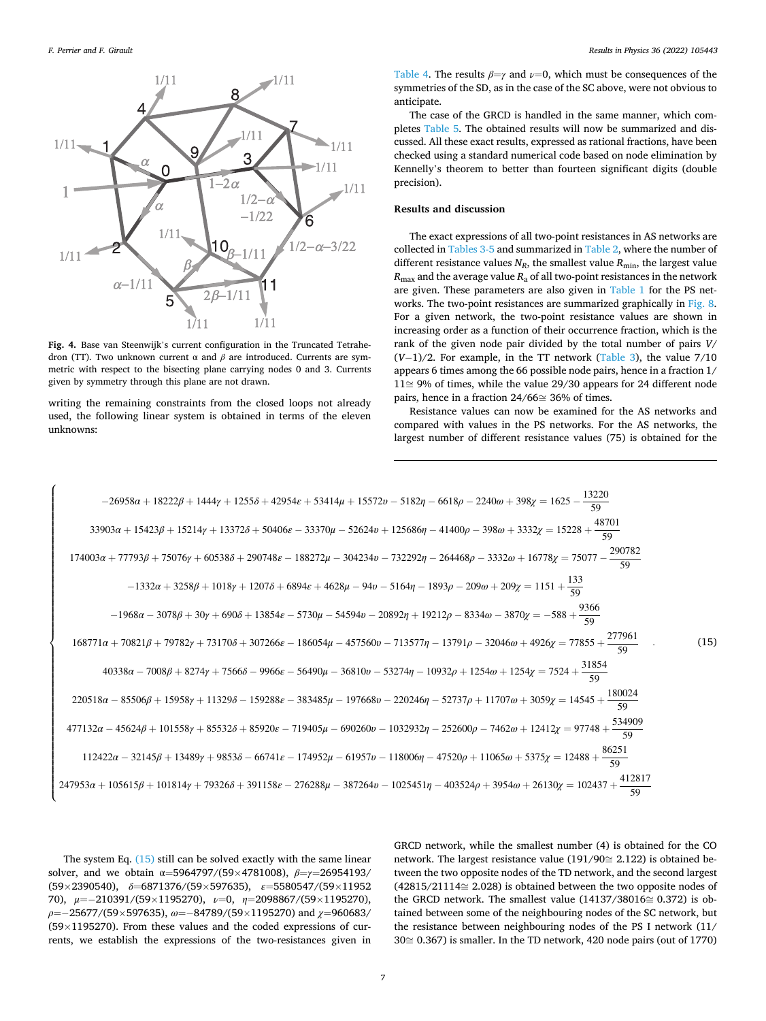<span id="page-6-0"></span>

**Fig. 4.** Base van Steenwijk's current configuration in the Truncated Tetrahedron (TT). Two unknown current α and *β* are introduced. Currents are symmetric with respect to the bisecting plane carrying nodes 0 and 3. Currents given by symmetry through this plane are not drawn.

writing the remaining constraints from the closed loops not already used, the following linear system is obtained in terms of the eleven unknowns:

[Table 4](#page-9-0). The results  $\beta = \gamma$  and  $\nu = 0$ , which must be consequences of the symmetries of the SD, as in the case of the SC above, were not obvious to anticipate.

The case of the GRCD is handled in the same manner, which completes [Table 5.](#page-9-0) The obtained results will now be summarized and discussed. All these exact results, expressed as rational fractions, have been checked using a standard numerical code based on node elimination by Kennelly's theorem to better than fourteen significant digits (double precision).

# **Results and discussion**

The exact expressions of all two-point resistances in AS networks are collected in [Tables 3-5](#page-7-0) and summarized in [Table 2,](#page-2-0) where the number of different resistance values  $N_R$ , the smallest value  $R_{\text{min}}$ , the largest value  $R_{\text{max}}$  and the average value  $R_a$  of all two-point resistances in the network are given. These parameters are also given in [Table 1](#page-1-0) for the PS networks. The two-point resistances are summarized graphically in [Fig. 8](#page-10-0). For a given network, the two-point resistance values are shown in increasing order as a function of their occurrence fraction, which is the rank of the given node pair divided by the total number of pairs *V*/ (*V*− 1)/2. For example, in the TT network ([Table 3](#page-7-0)), the value 7/10 appears 6 times among the 66 possible node pairs, hence in a fraction 1/ 11≅ 9% of times, while the value 29/30 appears for 24 different node pairs, hence in a fraction 24/66≅ 36% of times.

Resistance values can now be examined for the AS networks and compared with values in the PS networks. For the AS networks, the largest number of different resistance values (75) is obtained for the



The system Eq. (15) still can be solved exactly with the same linear solver, and we obtain α=5964797/(59×4781008), *β*=*γ*=26954193/ (59×2390540), *δ*=6871376/(59×597635), *ε*=5580547/(59×11952 70), *μ*=− 210391/(59×1195270), *ν*=0, *η*=2098867/(59×1195270), *ρ*=− 25677/(59×597635), *ω*=− 84789/(59×1195270) and *χ*=960683/ (59×1195270). From these values and the coded expressions of currents, we establish the expressions of the two-resistances given in

GRCD network, while the smallest number (4) is obtained for the CO network. The largest resistance value (191/90≅ 2.122) is obtained between the two opposite nodes of the TD network, and the second largest (42815/21114≅ 2.028) is obtained between the two opposite nodes of the GRCD network. The smallest value  $(14137/38016 \cong 0.372)$  is obtained between some of the neighbouring nodes of the SC network, but the resistance between neighbouring nodes of the PS I network (11/ 30≅ 0.367) is smaller. In the TD network, 420 node pairs (out of 1770)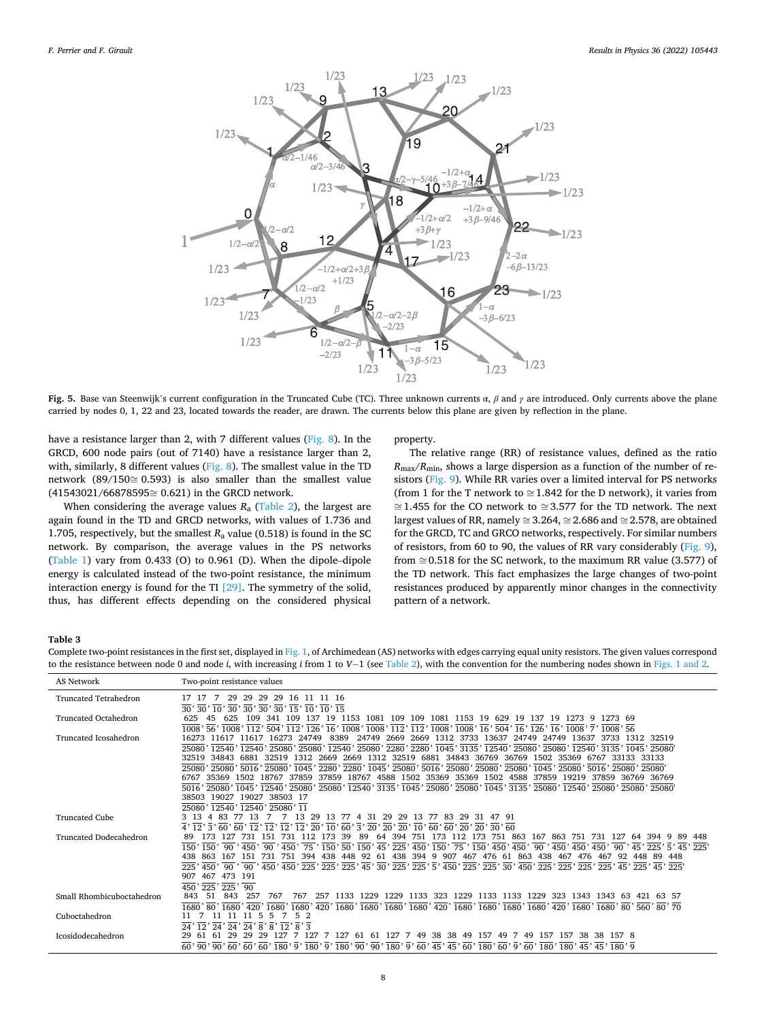<span id="page-7-0"></span>

**Fig. 5.** Base van Steenwijk's current configuration in the Truncated Cube (TC). Three unknown currents α, *β* and *γ* are introduced. Only currents above the plane carried by nodes 0, 1, 22 and 23, located towards the reader, are drawn. The currents below this plane are given by reflection in the plane.

have a resistance larger than 2, with 7 different values [\(Fig. 8\)](#page-10-0). In the GRCD, 600 node pairs (out of 7140) have a resistance larger than 2, with, similarly, 8 different values [\(Fig. 8](#page-10-0)). The smallest value in the TD network (89/150≅ 0.593) is also smaller than the smallest value (41543021/66878595≅ 0.621) in the GRCD network.

When considering the average values  $R_a$  [\(Table 2](#page-2-0)), the largest are again found in the TD and GRCD networks, with values of 1.736 and 1.705, respectively, but the smallest  $R_a$  value (0.518) is found in the SC network. By comparison, the average values in the PS networks ([Table 1\)](#page-1-0) vary from 0.433 (O) to 0.961 (D). When the dipole–dipole energy is calculated instead of the two-point resistance, the minimum interaction energy is found for the TI [\[29\]](#page-12-0). The symmetry of the solid, thus, has different effects depending on the considered physical

# property.

The relative range (RR) of resistance values, defined as the ratio  $R_{\text{max}}/R_{\text{min}}$ , shows a large dispersion as a function of the number of resistors [\(Fig. 9\)](#page-10-0). While RR varies over a limited interval for PS networks (from 1 for the T network to  $\approx$  1.842 for the D network), it varies from ≅ 1.455 for the CO network to ≅ 3.577 for the TD network. The next largest values of RR, namely  $\approx 3.264$ ,  $\approx 2.686$  and  $\approx 2.578$ , are obtained for the GRCD, TC and GRCO networks, respectively. For similar numbers of resistors, from 60 to 90, the values of RR vary considerably [\(Fig. 9](#page-10-0)), from  $\approx$  0.518 for the SC network, to the maximum RR value (3.577) of the TD network. This fact emphasizes the large changes of two-point resistances produced by apparently minor changes in the connectivity pattern of a network.

#### **Table 3**

Complete two-point resistances in the first set, displayed in [Fig. 1](#page-2-0), of Archimedean (AS) networks with edges carrying equal unity resistors. The given values correspond to the resistance between node 0 and node *i*, with increasing *i* from 1 to *V*− 1 (see [Table 2\)](#page-2-0), with the convention for the numbering nodes shown in [Figs. 1 and 2.](#page-2-0)

| AS Network                   | Two-point resistance values                                                                                                                                                                                                                                                                                                                                                                                                                                                                                                                                                                                                                                                                                                                                                                                                             |
|------------------------------|-----------------------------------------------------------------------------------------------------------------------------------------------------------------------------------------------------------------------------------------------------------------------------------------------------------------------------------------------------------------------------------------------------------------------------------------------------------------------------------------------------------------------------------------------------------------------------------------------------------------------------------------------------------------------------------------------------------------------------------------------------------------------------------------------------------------------------------------|
| <b>Truncated Tetrahedron</b> | 29<br>29<br>16 11 11 16<br>29<br>29                                                                                                                                                                                                                                                                                                                                                                                                                                                                                                                                                                                                                                                                                                                                                                                                     |
| <b>Truncated Octahedron</b>  | 30' 30' 10' 30' 30' 30' 30' 15' 10' 10' 15<br>19 1153 1081 109 109 1081 1153 19 629 19 137 19<br>45<br>625<br>109<br>341 109<br>137<br>625<br>1273 9 1273 69<br>1008' 56' 1008' 112' 504' 112' 126' 16' 1008' 1008' 112' 112' 1008' 1008' 16' 504' 16' 126' 16' 1008' 7' 1008' 56                                                                                                                                                                                                                                                                                                                                                                                                                                                                                                                                                       |
| Truncated Icosahedron        | 24749 2669 2669 1312 3733 13637<br>8389<br>16273 11617 11617 16273<br>24749<br>24749 24749 13637 3733<br>1312 32519<br>25080' 12540' 12540' 25080' 25080' 12540' 25080' 2280' 2280' 1045' 3135' 12540' 25080' 25080' 12540' 3135' 1045' 25080'                                                                                                                                                                                                                                                                                                                                                                                                                                                                                                                                                                                          |
|                              | 1312 2669 2669 1312 32519 6881 34843 36769 36769 1502 35369 6767 33133 33133<br>32519 34843<br>6881 32519<br>25080' 25080' 5016' 25080' 1045' 2280' 2280' 1045' 25080' 5016' 25080' 25080' 25080' 1045' 25080' 5016' 25080' 25080'<br>37859 18767 4588 1502 35369 35369 1502 4588 37859 19219 37859 36769 36769<br>6767 35369<br>1502 18767 37859                                                                                                                                                                                                                                                                                                                                                                                                                                                                                       |
|                              | $\frac{1}{2016}$ , $\frac{25080}{25080}$ , $\frac{1}{1045}$ , $\frac{1}{12540}$ , $\frac{25080}{25080}$ , $\frac{1}{12540}$ , $\frac{3135}{21045}$ , $\frac{25080}{25080}$ , $\frac{1}{1045}$ , $\frac{3135}{25080}$ , $\frac{25080}{25080}$ , $\frac{1}{2540}$ , $\frac{25080}{25080}$ , $\frac{$<br>38503 19027<br>19027 38503 17                                                                                                                                                                                                                                                                                                                                                                                                                                                                                                     |
|                              | $25080'$ $12540'$ $12540'$ $25080'$ $11$                                                                                                                                                                                                                                                                                                                                                                                                                                                                                                                                                                                                                                                                                                                                                                                                |
| <b>Truncated Cube</b>        | -13<br>13<br>-83<br>29<br>-13<br>-31<br>29<br>29<br>13<br>83<br>3 13 4<br>-77<br>77<br>29<br>31<br>774                                                                                                                                                                                                                                                                                                                                                                                                                                                                                                                                                                                                                                                                                                                                  |
| Truncated Dodecahedron       | $\frac{1}{4}$ , $\frac{1}{12}$ , $\frac{1}{3}$ , $\frac{1}{60}$ , $\frac{1}{60}$ , $\frac{1}{12}$ , $\frac{1}{12}$ , $\frac{1}{12}$ , $\frac{1}{20}$ , $\frac{1}{10}$ , $\frac{1}{60}$ , $\frac{1}{20}$ , $\frac{1}{20}$ , $\frac{1}{10}$ , $\frac{1}{60}$ , $\frac{1}{60}$ , $\frac{1}{60}$ , $\frac{1}{20}$ , $\frac{1}{2$<br>731 112 173<br>39<br>89<br>64 394<br>751 173 112 173 751 863 167 863 751 731 127<br>89<br>173 127<br>731 151<br>-64<br>394<br>448<br>$\overline{150}$ , $\overline{150}$ , $\overline{90}$ , $\overline{450}$ , $\overline{90}$ , $\overline{450}$ , $\overline{75}$ , $\overline{150}$ , $\overline{50}$ , $\overline{150}$ , $\overline{45}$ , $\overline{225}$ , $\overline{450}$ , $\overline{150}$ , $\overline{450}$ , $\overline{75}$ , $\overline{150}$ , $\overline{450}$ , $\overline{450}$ , |
|                              | 863<br>151 731 751 394 438<br>448 92<br>61 438 394 9 907 467 476 61 863 438 467 476 467 92<br>438<br>167<br>448 89<br>450' 90' 90' 90' 450' 450' 450' 425' 425' 426' 430' 4275' 428' 430' 4275' 430' 4275' 4276' 4276' 4276' 4276' 4275' 4275' 4275' 4275' 430' 4275' 430' 4275' 430' 4275' 430' 4276' 428' 428' 428' 428' 428'<br>225                                                                                                                                                                                                                                                                                                                                                                                                                                                                                                  |
|                              | 467<br>473 191<br>907<br>$450'$ 225' 225'<br>90                                                                                                                                                                                                                                                                                                                                                                                                                                                                                                                                                                                                                                                                                                                                                                                         |
| Small Rhombicuboctahedron    | 843<br>-51<br>843<br>257<br>767<br>767<br>1680'80'1680'420'1680'1680'420'1680'1680'1680'1680'420'1680'1680'1680'1680'1680'420'1680'1680'80'560'80'70                                                                                                                                                                                                                                                                                                                                                                                                                                                                                                                                                                                                                                                                                    |
| Cuboctahedron                | - 5                                                                                                                                                                                                                                                                                                                                                                                                                                                                                                                                                                                                                                                                                                                                                                                                                                     |
| Icosidodecahedron            | $12'$ 24' 24' $\overline{24}'$ $\overline{8}'$ $\overline{8}'$<br>$\overline{12}'$ 8' 3<br>24'<br>61 61 127 7 49 38<br>157<br>29<br>-61<br>-61<br>29<br>127<br>38 49 157 49 7<br>49<br>157<br>29<br>-29<br>127<br>127<br>1578<br>-38<br>$\frac{1}{60}$ , $\frac{1}{90}$ , $\frac{1}{90}$ , $\frac{1}{60}$ , $\frac{1}{60}$ , $\frac{1}{90}$ , $\frac{1}{90}$ , $\frac{1}{90}$ , $\frac{1}{90}$ , $\frac{1}{90}$ , $\frac{1}{90}$ , $\frac{1}{90}$ , $\frac{1}{90}$ , $\frac{1}{90}$ , $\frac{1}{90}$ , $\frac{1}{90}$ , $\frac{1}{90}$ , $\frac{1}{90}$ , $\frac{1$                                                                                                                                                                                                                                                                     |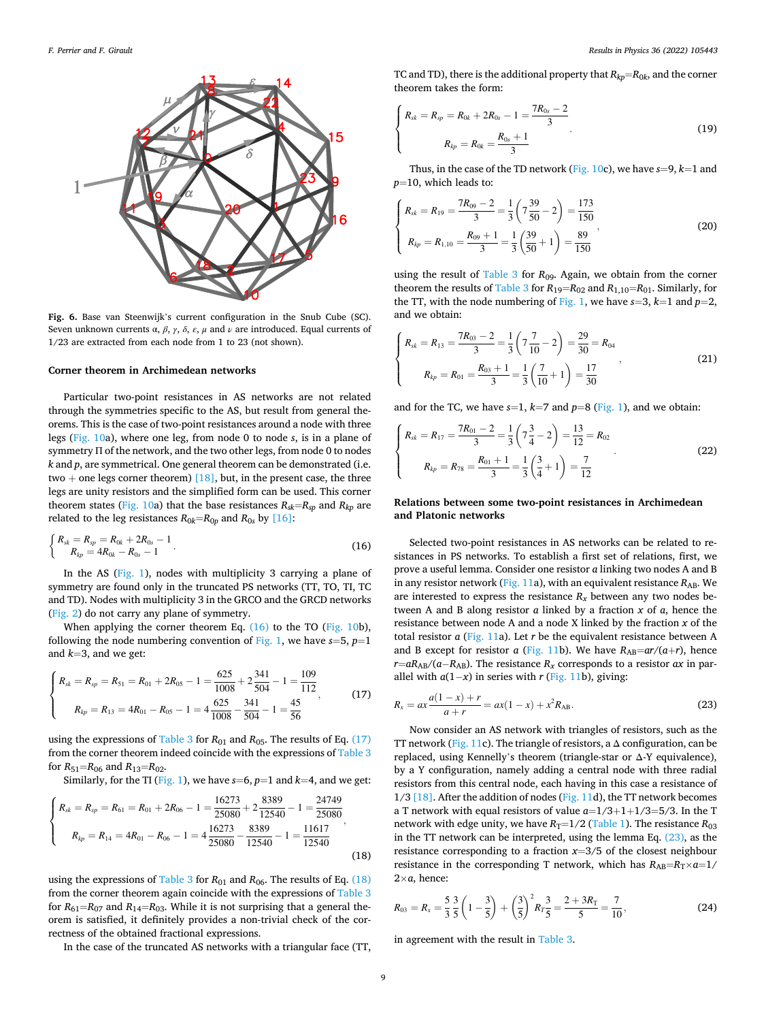<span id="page-8-0"></span>

**Fig. 6.** Base van Steenwijk's current configuration in the Snub Cube (SC). Seven unknown currents α, *β*, *γ*, *δ*, *ε*, *μ* and *ν* are introduced. Equal currents of 1/23 are extracted from each node from 1 to 23 (not shown).

# **Corner theorem in Archimedean networks**

Particular two-point resistances in AS networks are not related through the symmetries specific to the AS, but result from general theorems. This is the case of two-point resistances around a node with three legs [\(Fig. 10a](#page-11-0)), where one leg, from node 0 to node *s*, is in a plane of symmetry Π of the network, and the two other legs, from node 0 to nodes *k* and *p*, are symmetrical. One general theorem can be demonstrated (i.e. two + one legs corner theorem)  $[18]$ , but, in the present case, the three legs are unity resistors and the simplified form can be used. This corner theorem states ([Fig. 10a](#page-11-0)) that the base resistances  $R_{sk}=R_{sp}$  and  $R_{kp}$  are related to the leg resistances  $R_{0k}=R_{0p}$  and  $R_{0s}$  by [\[16\]](#page-12-0):

$$
\begin{cases}\nR_{sk} = R_{sp} = R_{0k} + 2R_{0s} - 1 \\
R_{kp} = 4R_{0k} - R_{0s} - 1\n\end{cases}.
$$
\n(16)

In the AS [\(Fig. 1\)](#page-2-0), nodes with multiplicity 3 carrying a plane of symmetry are found only in the truncated PS networks (TT, TO, TI, TC and TD). Nodes with multiplicity 3 in the GRCO and the GRCD networks ([Fig. 2\)](#page-3-0) do not carry any plane of symmetry.

When applying the corner theorem Eq.  $(16)$  to the TO ([Fig. 10](#page-11-0)b), following the node numbering convention of [Fig. 1](#page-2-0), we have  $s=5$ ,  $p=1$ and *k*=3, and we get:

$$
\begin{cases}\nR_{sk} = R_{sp} = R_{51} = R_{01} + 2R_{05} - 1 = \frac{625}{1008} + 2\frac{341}{504} - 1 = \frac{109}{112} \\
R_{kp} = R_{13} = 4R_{01} - R_{05} - 1 = 4\frac{625}{1008} - \frac{341}{504} - 1 = \frac{45}{56}\n\end{cases}
$$
\n(17)

using the expressions of [Table 3](#page-7-0) for  $R_{01}$  and  $R_{05}$ . The results of Eq. (17) from the corner theorem indeed coincide with the expressions of [Table 3](#page-7-0)  for  $R_{51}$ = $R_{06}$  and  $R_{13}$ = $R_{02}$ .

Similarly, for the TI [\(Fig. 1\)](#page-2-0), we have  $s=6$ ,  $p=1$  and  $k=4$ , and we get:

$$
\begin{cases}\nR_{sk} = R_{sp} = R_{61} = R_{01} + 2R_{06} - 1 = \frac{16273}{25080} + 2\frac{8389}{12540} - 1 = \frac{24749}{25080} \\
R_{kp} = R_{14} = 4R_{01} - R_{06} - 1 = 4\frac{16273}{25080} - \frac{8389}{12540} - 1 = \frac{11617}{12540}\n\end{cases}
$$
\n(18)

using the expressions of [Table 3](#page-7-0) for *R*<sub>01</sub> and *R*<sub>06</sub>. The results of Eq. (18) from the corner theorem again coincide with the expressions of [Table 3](#page-7-0)  for  $R_{61} = R_{07}$  and  $R_{14} = R_{03}$ . While it is not surprising that a general theorem is satisfied, it definitely provides a non-trivial check of the correctness of the obtained fractional expressions.

In the case of the truncated AS networks with a triangular face (TT,

TC and TD), there is the additional property that  $R_{kp} = R_{0k}$ , and the corner theorem takes the form:

 $\overline{a}$  $\sqrt{ }$  $\sqrt{ }$ 

$$
R_{sk} = R_{sp} = R_{0k} + 2R_{0s} - 1 = \frac{7R_{0s} - 2}{3}
$$
  

$$
R_{kp} = R_{0k} = \frac{R_{0s} + 1}{3}
$$
 (19)

Thus, in the case of the TD network ([Fig. 10](#page-11-0)c), we have *s*=9, *k*=1 and *p*=10, which leads to:

$$
\begin{cases}\nR_{sk} = R_{19} = \frac{7R_{09} - 2}{3} = \frac{1}{3} \left( 7 \frac{39}{50} - 2 \right) = \frac{173}{150} \\
R_{kp} = R_{1,10} = \frac{R_{09} + 1}{3} = \frac{1}{3} \left( \frac{39}{50} + 1 \right) = \frac{89}{150}\n\end{cases}
$$
\n(20)

using the result of [Table 3](#page-7-0) for *R*09. Again, we obtain from the corner theorem the results of [Table 3](#page-7-0) for  $R_{19}=R_{02}$  and  $R_{1,10}=R_{01}$ . Similarly, for the TT, with the node numbering of [Fig. 1,](#page-2-0) we have  $s=3$ ,  $k=1$  and  $p=2$ , and we obtain:

$$
\begin{cases}\n R_{sk} = R_{13} = \frac{7R_{03} - 2}{3} = \frac{1}{3} \left( 7 \frac{7}{10} - 2 \right) = \frac{29}{30} = R_{04} \\
 R_{kp} = R_{01} = \frac{R_{03} + 1}{3} = \frac{1}{3} \left( \frac{7}{10} + 1 \right) = \frac{17}{30}\n\end{cases}
$$
\n(21)

and for the TC, we have  $s=1$ ,  $k=7$  and  $p=8$  ([Fig. 1\)](#page-2-0), and we obtain:

$$
\begin{cases}\nR_{sk} = R_{17} = \frac{7R_{01} - 2}{3} = \frac{1}{3} \left( 7\frac{3}{4} - 2 \right) = \frac{13}{12} = R_{02} \\
R_{kp} = R_{78} = \frac{R_{01} + 1}{3} = \frac{1}{3} \left( \frac{3}{4} + 1 \right) = \frac{7}{12}\n\end{cases}
$$
\n(22)

# **Relations between some two-point resistances in Archimedean and Platonic networks**

Selected two-point resistances in AS networks can be related to resistances in PS networks. To establish a first set of relations, first, we prove a useful lemma. Consider one resistor *a* linking two nodes A and B in any resistor network [\(Fig. 11](#page-11-0)a), with an equivalent resistance  $R_{AB}$ . We are interested to express the resistance  $R<sub>x</sub>$  between any two nodes between A and B along resistor *a* linked by a fraction *x* of *a*, hence the resistance between node A and a node X linked by the fraction *x* of the total resistor *a* [\(Fig. 11](#page-11-0)a). Let *r* be the equivalent resistance between A and B except for resistor *a* ([Fig. 11](#page-11-0)b). We have  $R_{AB} = ar/(a+r)$ , hence  $r=aR_{AB}/(a-R_{AB})$ . The resistance  $R_x$  corresponds to a resistor  $ax$  in parallel with  $a(1-x)$  in series with *r* ([Fig. 11](#page-11-0)b), giving:

$$
R_x = ax \frac{a(1-x) + r}{a+r} = ax(1-x) + x^2 R_{AB}.
$$
 (23)

Now consider an AS network with triangles of resistors, such as the TT network [\(Fig. 11](#page-11-0)c). The triangle of resistors, a  $\Delta$  configuration, can be replaced, using Kennelly's theorem (triangle-star or Δ-Y equivalence), by a Y configuration, namely adding a central node with three radial resistors from this central node, each having in this case a resistance of 1/3 [\[18\].](#page-12-0) After the addition of nodes ([Fig. 11](#page-11-0)d), the TT network becomes a T network with equal resistors of value *a*=1/3+1+1/3=5/3. In the T network with edge unity, we have  $R_T$ =1/2 ([Table 1\)](#page-1-0). The resistance  $R_{03}$ in the TT network can be interpreted, using the lemma Eq. (23), as the resistance corresponding to a fraction *x*=3/5 of the closest neighbour resistance in the corresponding T network, which has  $R_{AB}=R_T\times a=1/2$  $2\times a$ , hence:

$$
R_{03} = R_x = \frac{5}{3} \frac{3}{5} \left( 1 - \frac{3}{5} \right) + \left( \frac{3}{5} \right)^2 R_T \frac{3}{5} = \frac{2 + 3R_T}{5} = \frac{7}{10},
$$
 (24)

in agreement with the result in [Table 3](#page-7-0).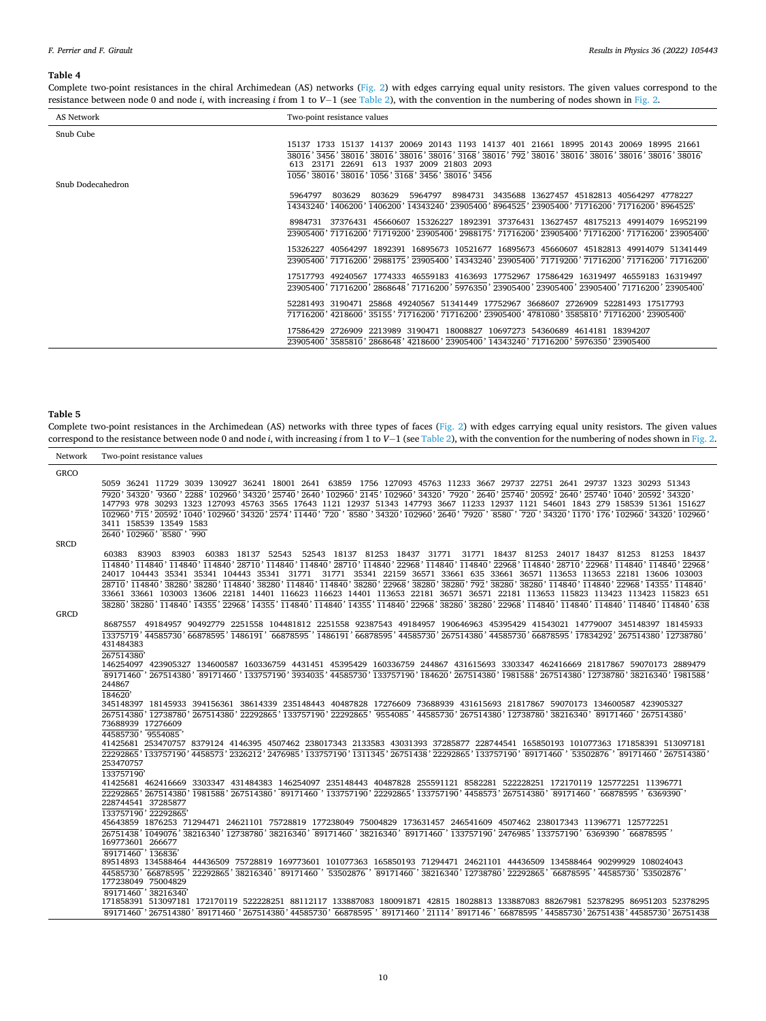#### <span id="page-9-0"></span>*F. Perrier and F. Girault*

#### **Table 4**

Complete two-point resistances in the chiral Archimedean (AS) networks ([Fig. 2](#page-3-0)) with edges carrying equal unity resistors. The given values correspond to the resistance between node 0 and node *i*, with increasing *i* from 1 to *V*− 1 (see [Table 2](#page-2-0)), with the convention in the numbering of nodes shown in [Fig. 2.](#page-3-0)

| AS Network        | Two-point resistance values                                                                                                                                                                                                                                                                           |  |  |
|-------------------|-------------------------------------------------------------------------------------------------------------------------------------------------------------------------------------------------------------------------------------------------------------------------------------------------------|--|--|
| Snub Cube         |                                                                                                                                                                                                                                                                                                       |  |  |
| Snub Dodecahedron | 15137 1733 15137 14137 20069 20143 1193 14137 401 21661 18995 20143 20069 18995 21661<br>38016' 3456' 38016' 38016' 38016' 38016' 3768' 38016' 792' 38016' 38016' 38016' 38016' 38016' 38016' 38016'<br>613 23171 22691 613 1937 2009 21803 2093<br>1056' 38016' 38016' 1056' 3168' 3456' 38016' 3456 |  |  |
|                   | 5964797<br>8984731 3435688 13627457 45182813 40564297 4778227<br>5964797<br>803629<br>803629<br>14343240'1406200'1406200'14343240'23905400'8964525'23905400'71716200'71716200'8964525'                                                                                                                |  |  |
|                   | 8984731 37376431 45660607 15326227 1892391 37376431 13627457 48175213 49914079 16952199<br>23905400' 71716200' 71719200' 23905400' 2988175' 71716200' 23905400' 71716200' 71716200' 23905400'                                                                                                         |  |  |
|                   | 15326227 40564297 1892391 16895673 10521677 16895673 45660607 45182813 49914079 51341449<br>23905400' 71716200' 2988175' 23905400' 14343240' 23905400' 71719200' 71716200' 71716200' 71716200'                                                                                                        |  |  |
|                   | 17517793 49240567 1774333 46559183 4163693 17752967 17586429 16319497 46559183 16319497<br>23905400' 71716200' 2868648' 71716200' 5976350' 23905400' 23905400' 23905400' 71716200' 23905400'                                                                                                          |  |  |
|                   | 52281493 3190471 25868 49240567 51341449 17752967 3668607 2726909 52281493 17517793<br>71716200 '4218600 '35155 '71716200 '71716200 '23905400 '4781080 '3585810 '71716200 '23905400'                                                                                                                  |  |  |
|                   | 17586429 2726909 2213989 3190471 18008827 10697273 54360689 4614181 18394207<br>23905400 ' 3585810 ' 2868648 ' 4218600 ' 23905400 ' 14343240 ' 71716200 ' 5976350 ' 23905400                                                                                                                          |  |  |

#### **Table 5**

Complete two-point resistances in the Archimedean (AS) networks with three types of faces ([Fig. 2](#page-3-0)) with edges carrying equal unity resistors. The given values correspond to the resistance between node 0 and node *i*, with increasing *i* from 1 to *V*− 1 (see [Table 2\)](#page-2-0), with the convention for the numbering of nodes shown in [Fig. 2.](#page-3-0)

Network Two-point resistance values **GRCO** 5059 36241 11729 3039 130927 36241 18001 2641 63859 1756 127093 45763 11233 3667 29737 22751 2641 29737 1323 30293 51343<br>7920'34320'9360'2288'102960'34320'25740'2640'102960'2145'102960'34320'7920'2640'25740'20592'2640'2574 147793 978 30293 1323 127093 45763 3565 17643 1121 12937 51343 147793 3667 11233 12937 1121 54601 1843 279 158539 51361 151627<br>102960,715,20592,1040,102960,34320,2574,11440,720,8580,34320,102960,2640,7920,8580,720,34320,11 <sup>2640</sup> , 158539 <sup>102960</sup> , 13549 <sup>8580</sup> , 1583 **SRCD**   $\frac{60383}{114840}, \frac{83903}{114840}$  $\frac{83903}{114840}, \frac{83903}{114840}$  , 60383 18137 52543 18137 52543 52543<br>28710<sup>,</sup> 114840<sup>,</sup> 11484  $\overline{114840}$ ,  $\overline{28710}$ 18137 81253 18437<br>28710<sup>,</sup> 114840<sup>,</sup> 22968 ,  $22968$  , <sup>31771</sup> <sup>114840</sup> , <sup>31771</sup>  $\frac{31771}{114840}$   $\frac{18437}{22968}, \frac{81253}{114840}$  , 18437 ,  $22968$  , <sup>81253</sup> <sup>114840</sup> , <sup>81253</sup>  $\frac{81253}{114840}$  104443 35341 35341 104443 35341 24017 104443 35341 35341 104443 35341 31771 31771<br>28710 114840 38280 38280 114840 38280 114840 114840  $\frac{1}{114840}, \frac{1}{38280}, \frac{1}{22968}, \frac{1}{38280}, \frac{1}{38280}, \frac{1}{792},$  22159 36571 33661 635 33661 36571 113653 113653 22181 13606 103003 38280<sup>,</sup> 38280<sup>,</sup> 114840<sup>,</sup> 114840<sup>,</sup> 22968<sup>,</sup> 14355<sup>,</sup> 114840<sup>,</sup> 33661 38280<sup>,</sup> 38280<sup>,</sup> 38280<sup>,</sup> 114840<sup>,</sup> 11355, 22968<sup>,</sup> 114850<sup>,</sup> 114840, 114840, 114355, 114840, 22968, 38280, 38280, 38280, 38280, 32968, 114840, 114840, 114840, 114840, 114840, 114840, 114840, 114840, 114840, 114840, 11484 13606 22181 14401 116623 116623 14401 113653 22181 36571 115823 113423 113423 115823 651 **GRCD**  13375719<sup>,</sup> 44585730<sup>,</sup> 66878595<sup>,</sup> 1486191<sup>,</sup> 66878595<sup>,</sup> 1486191<sup>,</sup> 66878595<sup>,</sup> 44585730<sup>,</sup> 267514380<sup>,</sup> 44585730<sup>,</sup> 66878595, 17834292<sup>,</sup> 267514380<sup>,</sup> 12738780<sup>,</sup> 49184957 90492779 2251558 104481812 2251558 92387543 49184957 190646963 45395429 41543021 14779007 345148397 18145933 , 423905327 134600587 160336759 4431451 45395429 160336759 244867 431615693 3303347 462416669 21817867 59070173 2889479 <u>1282222, Experies , Experies , Hersen , Experies , Experies , Experies , Experies , Experies , Experies , Experies , Experies , Experies , Experies , Experies , Experies , Experies , Experies , Experies , Experies , Exper</u> , 345148397 18145933 394156361 38614339 235148443 40487828 17276609 73688939 431615693 21817867 59070173 134600587 423905327 , 73688939 17276609 , <u>267514380, 22292865, 133757190, 22292865, 9554085</u>, 44585730, 267514380, 12738780, 38216340, 89171460, 267514380, , , 41425681 253470757 8379124 4146395 4507462 238017343 2133583 43031393 37285877 228744541 165850193 101077363 171858391 513097181 --------<br>22292865<br>253470757 133757190<sup>,</sup> 4458573<sup>,</sup> 2326212, 2476985<sup>,</sup> 133757190<sup>,</sup> 1311345, 26751438, 22292865, 133757190, 89171460, 53502876  $\frac{1}{89171460}, \frac{1}{267514380},$ ,  $\frac{122292865}{267514380}$  431484383 146254097 235148443 40487828 255591121 8582281 522228251 172170119 125772251 11396771 1981588<sup>,</sup> 267514380<sup>,</sup> 89171460<sup>,</sup> 133757190<sup>,</sup> 22292865<sup>,</sup> 133757190<sup>,</sup> 4458573<sup>,</sup> 267514380<sup>,</sup> 89171460<sup>,</sup>  $\frac{1257 \cdot 115 \cdot 15}{133757190}, \frac{125557 \cdot 15}{22292865}$  45643859 1876253 71294471 24621101 75728819 177238049 75004829 173631457 246541609 4507462 238017343 11396771 125772251 <u>1221222 , 1222122 , 1222112 , 122212 , 122216 , 122216 , 122216 , 122216 , 1222122 , 1222122 , 1222122 , 1222122 , 1222122 , 1222122 , 1222122 , 122212 , 122212 , 122212 , 122212 , 122212 , 122212 , 122212 , 122212 , 1222</u> , 89514893 134588464 44436509 75728819 169773601 101077363 165850193 71294471 24621101 44436509 134588464 90299929 108024043 , , , <sup>38216340</sup> , <sup>89171460</sup> , <sup>53502876</sup> , <sup>89171460</sup> , <sup>38216340</sup> , <sup>12738780</sup> , <sup>22292865</sup> , <sup>66878595</sup> , <sup>44585730</sup> , <sup>53502876</sup> , , , 513097181 172170119 522228251 88112117 133887083 180091871 42815 18028813 133887083 88267981 52378295 86951203 52378295 <u>2003, 101, 2012, 2022, 2022, 2022, 2022, 2022, 2022, 2022, 2022, 2022, 2022, 2022, 2022, 2022, 2022</u>, 2022, 20<br>267514380<sup>,</sup> 89171460<sup>,</sup> 267514380<sup>,</sup> 44585730<sup>,</sup> 66878595<sup>,</sup> 89171460<sup>,</sup> 21114<sup>,</sup> 8917146<sup>,</sup> 66878595, , <sup>26751438</sup> , <sup>44585730</sup> , 26751438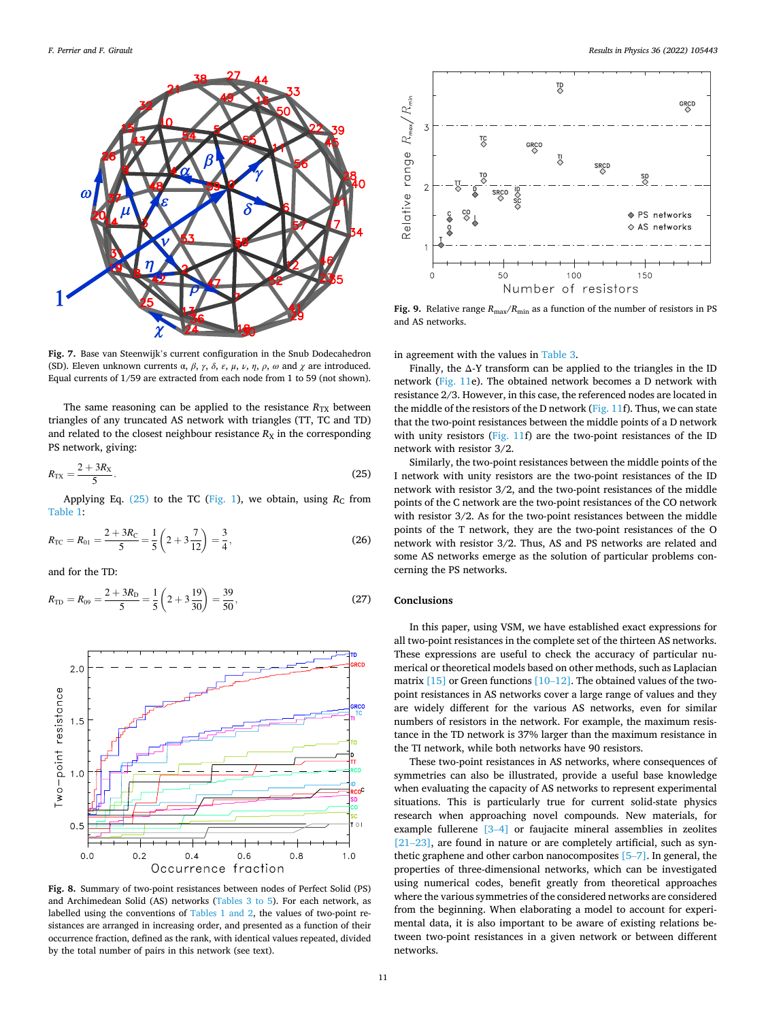<span id="page-10-0"></span>

**Fig. 7.** Base van Steenwijk's current configuration in the Snub Dodecahedron (SD). Eleven unknown currents  $\alpha$ ,  $\beta$ ,  $\gamma$ ,  $\delta$ ,  $\varepsilon$ ,  $\mu$ ,  $\nu$ ,  $\eta$ ,  $\rho$ ,  $\omega$  and  $\chi$  are introduced. Equal currents of 1/59 are extracted from each node from 1 to 59 (not shown).

The same reasoning can be applied to the resistance  $R_{TX}$  between triangles of any truncated AS network with triangles (TT, TC and TD) and related to the closest neighbour resistance  $R_X$  in the corresponding PS network, giving:

$$
R_{\rm{TX}} = \frac{2 + 3R_{\rm{X}}}{5}.
$$
 (25)

Applying Eq.  $(25)$  to the TC ([Fig. 1](#page-2-0)), we obtain, using  $R_C$  from [Table 1](#page-1-0):

$$
R_{\rm TC} = R_{01} = \frac{2 + 3R_{\rm C}}{5} = \frac{1}{5} \left( 2 + 3\frac{7}{12} \right) = \frac{3}{4},\tag{26}
$$

and for the TD:

$$
R_{\rm TD} = R_{09} = \frac{2 + 3R_{\rm D}}{5} = \frac{1}{5} \left( 2 + 3 \frac{19}{30} \right) = \frac{39}{50},\tag{27}
$$



**Fig. 8.** Summary of two-point resistances between nodes of Perfect Solid (PS) and Archimedean Solid (AS) networks [\(Tables 3 to 5](#page-7-0)). For each network, as labelled using the conventions of [Tables 1 and 2,](#page-1-0) the values of two-point resistances are arranged in increasing order, and presented as a function of their occurrence fraction, defined as the rank, with identical values repeated, divided by the total number of pairs in this network (see text).



**Fig. 9.** Relative range  $R_{\text{max}}/R_{\text{min}}$  as a function of the number of resistors in PS and AS networks.

in agreement with the values in [Table 3.](#page-7-0)

Finally, the Δ-Y transform can be applied to the triangles in the ID network ([Fig. 11e](#page-11-0)). The obtained network becomes a D network with resistance 2/3. However, in this case, the referenced nodes are located in the middle of the resistors of the D network ([Fig. 11f](#page-11-0)). Thus, we can state that the two-point resistances between the middle points of a D network with unity resistors ([Fig. 11](#page-11-0)f) are the two-point resistances of the ID network with resistor 3/2.

Similarly, the two-point resistances between the middle points of the I network with unity resistors are the two-point resistances of the ID network with resistor 3/2, and the two-point resistances of the middle points of the C network are the two-point resistances of the CO network with resistor 3/2. As for the two-point resistances between the middle points of the T network, they are the two-point resistances of the O network with resistor 3/2. Thus, AS and PS networks are related and some AS networks emerge as the solution of particular problems concerning the PS networks.

# **Conclusions**

In this paper, using VSM, we have established exact expressions for all two-point resistances in the complete set of the thirteen AS networks. These expressions are useful to check the accuracy of particular numerical or theoretical models based on other methods, such as Laplacian matrix  $[15]$  or Green functions  $[10-12]$  $[10-12]$ . The obtained values of the twopoint resistances in AS networks cover a large range of values and they are widely different for the various AS networks, even for similar numbers of resistors in the network. For example, the maximum resistance in the TD network is 37% larger than the maximum resistance in the TI network, while both networks have 90 resistors.

These two-point resistances in AS networks, where consequences of symmetries can also be illustrated, provide a useful base knowledge when evaluating the capacity of AS networks to represent experimental situations. This is particularly true for current solid-state physics research when approaching novel compounds. New materials, for example fullerene [3–[4\]](#page-12-0) or faujacite mineral assemblies in zeolites [21–[23\]](#page-12-0), are found in nature or are completely artificial, such as synthetic graphene and other carbon nanocomposites [\[5](#page-12-0)–7]. In general, the properties of three-dimensional networks, which can be investigated using numerical codes, benefit greatly from theoretical approaches where the various symmetries of the considered networks are considered from the beginning. When elaborating a model to account for experimental data, it is also important to be aware of existing relations between two-point resistances in a given network or between different networks.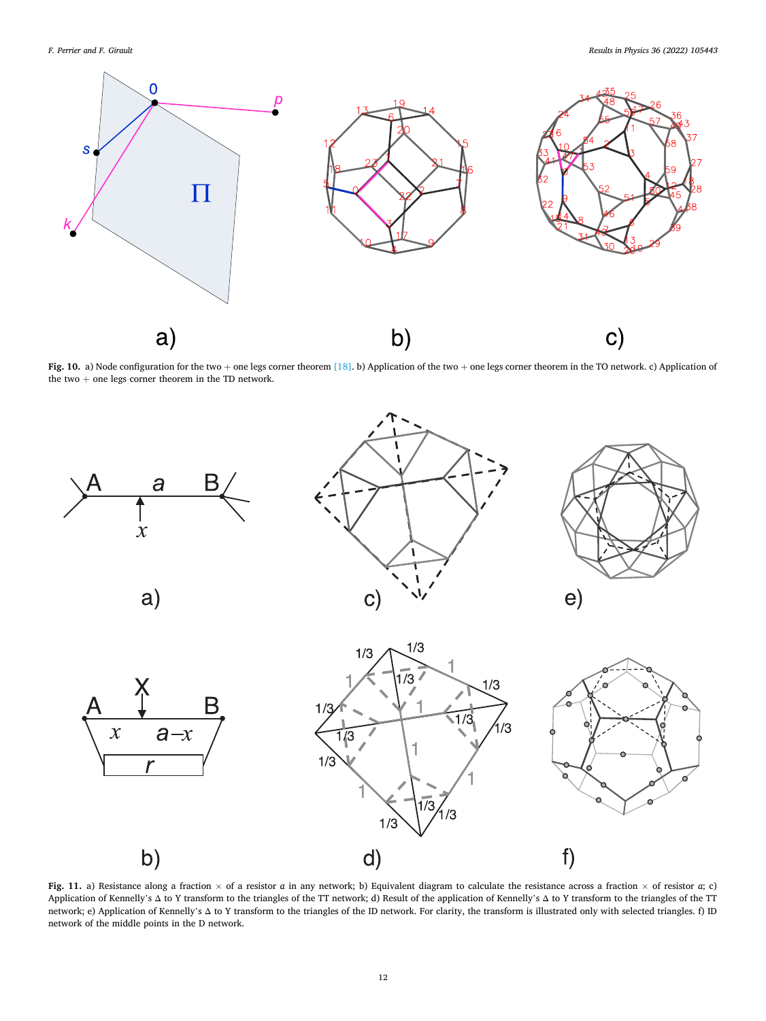<span id="page-11-0"></span>

**Fig. 10.** a) Node configuration for the two + one legs corner theorem [\[18\].](#page-12-0) b) Application of the two + one legs corner theorem in the TO network. c) Application of the two  $+$  one legs corner theorem in the TD network.



**Fig. 11.** a) Resistance along a fraction × of a resistor *a* in any network; b) Equivalent diagram to calculate the resistance across a fraction × of resistor *a*; c) Application of Kennelly's Δ to Y transform to the triangles of the TT network; d) Result of the application of Kennelly's Δ to Y transform to the triangles of the TT network; e) Application of Kennelly's Δ to Y transform to the triangles of the ID network. For clarity, the transform is illustrated only with selected triangles. f) ID network of the middle points in the D network.